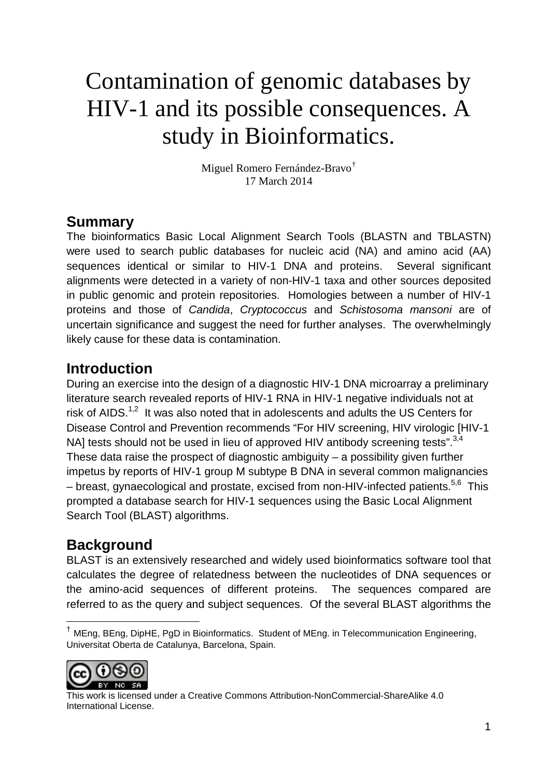# Contamination of genomic databases by HIV-1 and its possible consequences. A study in Bioinformatics.

Miguel Romero Fernández-Bravo[†](#page-0-0) 17 March 2014

#### **Summary**

The bioinformatics Basic Local Alignment Search Tools (BLASTN and TBLASTN) were used to search public databases for nucleic acid (NA) and amino acid (AA) sequences identical or similar to HIV-1 DNA and proteins. Several significant alignments were detected in a variety of non-HIV-1 taxa and other sources deposited in public genomic and protein repositories. Homologies between a number of HIV-1 proteins and those of *Candida*, *Cryptococcus* and *Schistosoma mansoni* are of uncertain significance and suggest the need for further analyses. The overwhelmingly likely cause for these data is contamination.

#### **Introduction**

During an exercise into the design of a diagnostic HIV-1 DNA microarray a preliminary literature search revealed reports of HIV-1 RNA in HIV-1 negative individuals not at risk of AIDS. $1,2$  $1,2$  It was also noted that in adolescents and adults the US Centers for Disease Control and Prevention recommends "For HIV screening, HIV virologic [HIV-1 NA] tests should not be used in lieu of approved HIV antibody screening tests".<sup>[3,](#page-10-2)[4](#page-10-3)</sup> These data raise the prospect of diagnostic ambiguity  $-$  a possibility given further impetus by reports of HIV-1 group M subtype B DNA in several common malignancies – breast, gynaecological and prostate, excised from non-HIV-infected patients.<sup>[5,](#page-10-4)[6](#page-10-5)</sup> This prompted a database search for HIV-1 sequences using the Basic Local Alignment Search Tool (BLAST) algorithms.

### **Background**

BLAST is an extensively researched and widely used bioinformatics software tool that calculates the degree of relatedness between the nucleotides of DNA sequences or the amino-acid sequences of different proteins. The sequences compared are referred to as the query and subject sequences. Of the several BLAST algorithms the

<span id="page-0-0"></span> <sup>†</sup> MEng, BEng, DipHE, PgD in Bioinformatics. Student of MEng. in Telecommunication Engineering, Universitat Oberta de Catalunya, Barcelona, Spain.



This work is licensed under a Creative Commons Attribution-NonCommercial-ShareAlike 4.0 International License.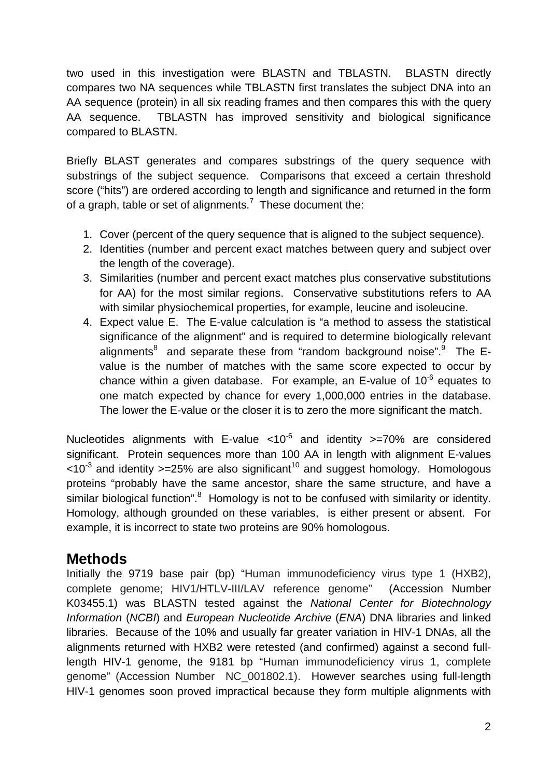two used in this investigation were BLASTN and TBLASTN. BLASTN directly compares two NA sequences while TBLASTN first translates the subject DNA into an AA sequence (protein) in all six reading frames and then compares this with the query AA sequence. TBLASTN has improved sensitivity and biological significance compared to BLASTN.

Briefly BLAST generates and compares substrings of the query sequence with substrings of the subject sequence. Comparisons that exceed a certain threshold score ("hits") are ordered according to length and significance and returned in the form of a graph, table or set of alignments.<sup>[7](#page-10-6)</sup> These document the:

- 1. Cover (percent of the query sequence that is aligned to the subject sequence).
- 2. Identities (number and percent exact matches between query and subject over the length of the coverage).
- 3. Similarities (number and percent exact matches plus conservative substitutions for AA) for the most similar regions. Conservative substitutions refers to AA with similar physiochemical properties, for example, leucine and isoleucine.
- 4. Expect value E. The E-value calculation is "a method to assess the statistical significance of the alignment" and is required to determine biologically relevant alignments<sup>8</sup> and separate these from "random background noise"[.](#page-10-8)<sup>9</sup> The Evalue is the number of matches with the same score expected to occur by chance within a given database. For example, an E-value of  $10^{-6}$  equates to one match expected by chance for every 1,000,000 entries in the database. The lower the E-value or the closer it is to zero the more significant the match.

Nucleotides alignments with E-value  $< 10^{-6}$  and identity  $>= 70\%$  are considered significant. Protein sequences more than 100 AA in length with alignment E-values  $10^{-3}$  $10^{-3}$  and identity  $>=25\%$  are also significant<sup>10</sup> and suggest homology. Homologous proteins "probably have the same ancestor, share the same structure, and have a similar biological function".<sup>[8](#page-10-7)</sup> Homology is not to be confused with similarity or identity. Homology, although grounded on these variables, is either present or absent. For example, it is incorrect to state two proteins are 90% homologous.

#### **Methods**

Initially the 9719 base pair (bp) "Human immunodeficiency virus type 1 (HXB2), complete genome; HIV1/HTLV-III/LAV reference genome" (Accession Number K03455.1) was BLASTN tested against the *National Center for Biotechnology Information* (*NCBI*) and *European Nucleotide Archive* (*ENA*) DNA libraries and linked libraries. Because of the 10% and usually far greater variation in HIV-1 DNAs, all the alignments returned with HXB2 were retested (and confirmed) against a second fulllength HIV-1 genome, the 9181 bp "Human immunodeficiency virus 1, complete genome" (Accession Number NC\_001802.1). However searches using full-length HIV-1 genomes soon proved impractical because they form multiple alignments with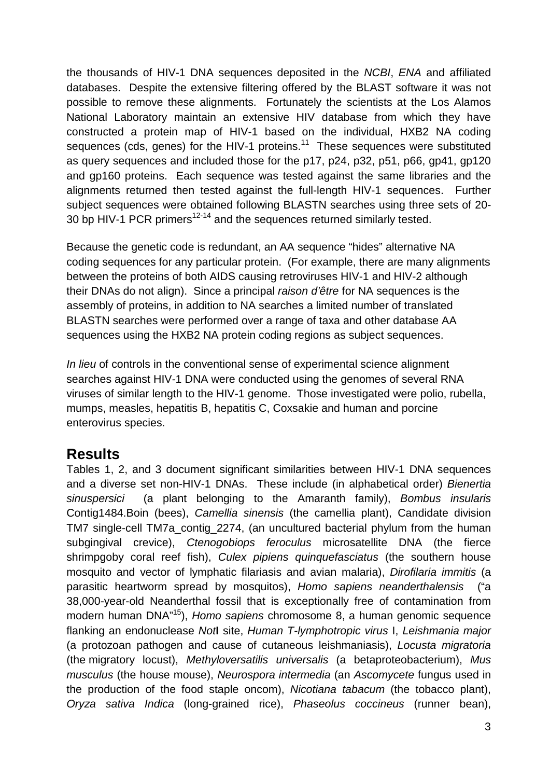the thousands of HIV-1 DNA sequences deposited in the *NCBI*, *ENA* and affiliated databases. Despite the extensive filtering offered by the BLAST software it was not possible to remove these alignments. Fortunately the scientists at the Los Alamos National Laboratory maintain an extensive HIV database from which they have constructed a protein map of HIV-1 based on the individual, HXB2 NA coding sequences (cds, genes) for the HIV-1 proteins.<sup>[11](#page-10-10)</sup> These sequences were substituted as query sequences and included those for the p17, p24, p32, p51, p66, gp41, gp120 and gp160 proteins. Each sequence was tested against the same libraries and the alignments returned then tested against the full-length HIV-1 sequences. Further subject sequences were obtained following BLASTN searches using three sets of 20- 30 bp HIV-1 PCR primers<sup>[12-14](#page-10-11)</sup> and the sequences returned similarly tested.

Because the genetic code is redundant, an AA sequence "hides" alternative NA coding sequences for any particular protein. (For example, there are many alignments between the proteins of both AIDS causing retroviruses HIV-1 and HIV-2 although their DNAs do not align). Since a principal *raison d'être* for NA sequences is the assembly of proteins, in addition to NA searches a limited number of translated BLASTN searches were performed over a range of taxa and other database AA sequences using the HXB2 NA protein coding regions as subject sequences.

*In lieu* of controls in the conventional sense of experimental science alignment searches against HIV-1 DNA were conducted using the genomes of several RNA viruses of similar length to the HIV-1 genome. Those investigated were polio, rubella, mumps, measles, hepatitis B, hepatitis C, Coxsakie and human and porcine enterovirus species.

#### **Results**

Tables 1, 2, and 3 document significant similarities between HIV-1 DNA sequences and a diverse set non-HIV-1 DNAs. These include (in alphabetical order) *Bienertia sinuspersici* (a plant belonging to the Amaranth family), *Bombus insularis* Contig1484.Boin (bees), *Camellia sinensis* (the camellia plant), Candidate division TM7 single-cell TM7a\_contig\_2274, (an uncultured bacterial phylum from the human subgingival crevice), *Ctenogobiops feroculus* microsatellite DNA (the fierce shrimpgoby coral reef fish), *Culex pipiens quinquefasciatus* (the southern house mosquito and vector of lymphatic filariasis and avian malaria), *Dirofilaria immitis* (a parasitic heartworm spread by mosquitos), *Homo sapiens neanderthalensis* ("a 38,000-year-old Neanderthal fossil that is exceptionally free of contamination from modern human DNA" [15\)](#page-10-12), *Homo sapiens* chromosome 8, a human genomic sequence flanking an endonuclease *Not***I** site, *Human T-lymphotropic virus* I, *Leishmania major* (a protozoan pathogen and cause of cutaneous leishmaniasis), *Locusta migratoria* (the migratory locust), *Methyloversatilis universalis* (a betaproteobacterium), *Mus musculus* (the house mouse), *Neurospora intermedia* (an *Ascomycete* fungus used in the production of the food staple oncom), *Nicotiana tabacum* (the tobacco plant), *Oryza sativa Indica* (long-grained rice), *Phaseolus coccineus* (runner bean),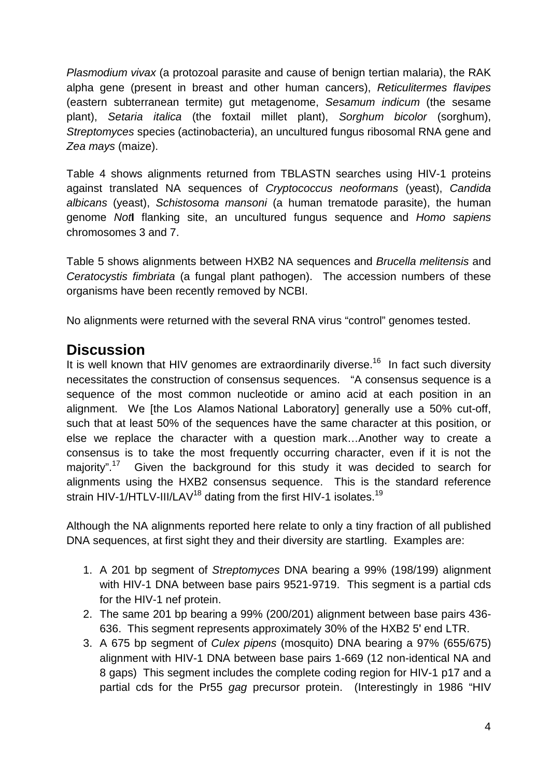*Plasmodium vivax* (a protozoal parasite and cause of benign tertian malaria), the RAK alpha gene (present in breast and other human cancers), *Reticulitermes flavipes* (eastern subterranean termite**)** gut metagenome, *Sesamum indicum* (the sesame plant), *Setaria italica* (the foxtail millet plant), *Sorghum bicolor* (sorghum), *Streptomyces* species (actinobacteria), an uncultured fungus ribosomal RNA gene and *Zea mays* (maize).

Table 4 shows alignments returned from TBLASTN searches using HIV-1 proteins against translated NA sequences of *Cryptococcus neoformans* (yeast), *Candida albicans* (yeast), *Schistosoma mansoni* (a human trematode parasite), the human genome *Not***I** flanking site, an uncultured fungus sequence and *Homo sapiens* chromosomes 3 and 7.

Table 5 shows alignments between HXB2 NA sequences and *Brucella melitensis* and *Ceratocystis fimbriata* (a fungal plant pathogen). The accession numbers of these organisms have been recently removed by NCBI.

No alignments were returned with the several RNA virus "control" genomes tested.

#### **Discussion**

It is well known that HIV genomes are extraordinarily diverse.<sup>[16](#page-10-13)</sup> In fact such diversity necessitates the construction of consensus sequences. "A consensus sequence is a sequence of the most common nucleotide or amino acid at each position in an alignment. We [the Los Alamos National Laboratory] generally use a 50% cut-off, such that at least 50% of the sequences have the same character at this position, or else we replace the character with a question mark…Another way to create a consensus is to take the most frequently occurring character, even if it is not the majority".<sup>17</sup> Given the background for this study it was decided to search for alignments using the HXB2 consensus sequence. This is the standard reference strain HIV-1/HTLV-III/LAV<sup>[18](#page-11-0)</sup> dating from the first HIV-1 isolates.<sup>[19](#page-11-1)</sup>

Although the NA alignments reported here relate to only a tiny fraction of all published DNA sequences, at first sight they and their diversity are startling. Examples are:

- 1. A 201 bp segment of *Streptomyces* DNA bearing a 99% (198/199) alignment with HIV-1 DNA between base pairs 9521-9719. This segment is a partial cds for the HIV-1 nef protein.
- 2. The same 201 bp bearing a 99% (200/201) alignment between base pairs 436- 636. This segment represents approximately 30% of the HXB2 5ʹ end LTR.
- 3. A 675 bp segment of *Culex pipens* (mosquito) DNA bearing a 97% (655/675) alignment with HIV-1 DNA between base pairs 1-669 (12 non-identical NA and 8 gaps) This segment includes the complete coding region for HIV-1 p17 and a partial cds for the Pr55 *gag* precursor protein. (Interestingly in 1986 "HIV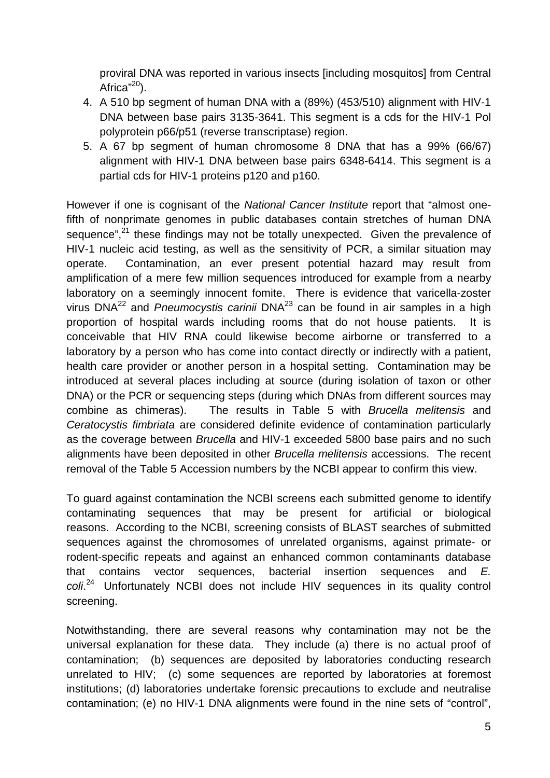proviral DNA was reported in various insects [including mosquitos] from Central Africa"<sup>20</sup>).

- 4. A 510 bp segment of human DNA with a (89%) (453/510) alignment with HIV-1 DNA between base pairs 3135-3641. This segment is a cds for the HIV-1 Pol polyprotein p66/p51 (reverse transcriptase) region.
- 5. A 67 bp segment of human chromosome 8 DNA that has a 99% (66/67) alignment with HIV-1 DNA between base pairs 6348-6414. This segment is a partial cds for HIV-1 proteins p120 and p160.

However if one is cognisant of the *National Cancer Institute* report that "almost onefifth of nonprimate genomes in public databases contain stretches of human DNA sequence",<sup>[21](#page-11-3)</sup> these findings may not be totally unexpected. Given the prevalence of HIV-1 nucleic acid testing, as well as the sensitivity of PCR, a similar situation may operate. Contamination, an ever present potential hazard may result from amplification of a mere few million sequences introduced for example from a nearby laboratory on a seemingly innocent fomite. There is evidence that varicella-zoster virus DNA<sup>[22](#page-11-4)</sup> and *Pneumocystis carinii* DNA<sup>[23](#page-11-5)</sup> can be found in air samples in a high proportion of hospital wards including rooms that do not house patients. It is conceivable that HIV RNA could likewise become airborne or transferred to a laboratory by a person who has come into contact directly or indirectly with a patient, health care provider or another person in a hospital setting. Contamination may be introduced at several places including at source (during isolation of taxon or other DNA) or the PCR or sequencing steps (during which DNAs from different sources may combine as chimeras). The results in Table 5 with *Brucella melitensis* and *Ceratocystis fimbriata* are considered definite evidence of contamination particularly as the coverage between *Brucella* and HIV-1 exceeded 5800 base pairs and no such alignments have been deposited in other *Brucella melitensis* accessions. The recent removal of the Table 5 Accession numbers by the NCBI appear to confirm this view.

To guard against contamination the NCBI screens each submitted genome to identify contaminating sequences that may be present for artificial or biological reasons. According to the NCBI, screening consists of BLAST searches of submitted sequences against the chromosomes of unrelated organisms, against primate- or rodent-specific repeats and against an enhanced common contaminants database that contains vector sequences, bacterial insertion sequences and *E. coli*. [24](#page-11-6) Unfortunately NCBI does not include HIV sequences in its quality control screening.

Notwithstanding, there are several reasons why contamination may not be the universal explanation for these data. They include (a) there is no actual proof of contamination; (b) sequences are deposited by laboratories conducting research unrelated to HIV; (c) some sequences are reported by laboratories at foremost institutions; (d) laboratories undertake forensic precautions to exclude and neutralise contamination; (e) no HIV-1 DNA alignments were found in the nine sets of "control",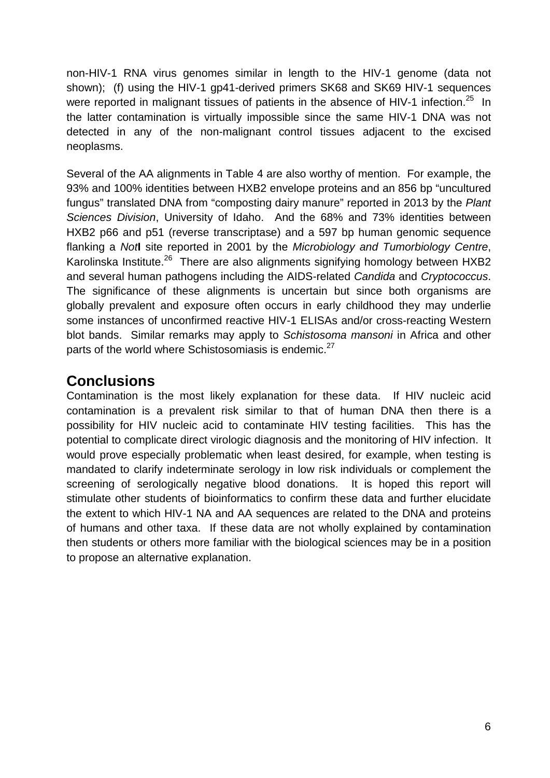non-HIV-1 RNA virus genomes similar in length to the HIV-1 genome (data not shown); (f) using the HIV-1 gp41-derived primers SK68 and SK69 HIV-1 sequences were reported in malignant tissues of patients in the absence of HIV-1 infection.<sup>25</sup> In the latter contamination is virtually impossible since the same HIV-1 DNA was not detected in any of the non-malignant control tissues adjacent to the excised neoplasms.

Several of the AA alignments in Table 4 are also worthy of mention. For example, the 93% and 100% identities between HXB2 envelope proteins and an 856 bp "uncultured fungus" translated DNA from "composting dairy manure" reported in 2013 by the *Plant Sciences Division*, University of Idaho. And the 68% and 73% identities between HXB2 p66 and p51 (reverse transcriptase) and a 597 bp human genomic sequence flanking a *Not***I** site reported in 2001 by the *Microbiology and Tumorbiology Centre*, Karolinska Institute.<sup>[26](#page-11-8)</sup> There are also alignments signifying homology between HXB2 and several human pathogens including the AIDS-related *Candida* and *Cryptococcus*. The significance of these alignments is uncertain but since both organisms are globally prevalent and exposure often occurs in early childhood they may underlie some instances of unconfirmed reactive HIV-1 ELISAs and/or cross-reacting Western blot bands. Similar remarks may apply to *Schistosoma mansoni* in Africa and other parts of the world where Schistosomiasis is endemic.<sup>[27](#page-11-9)</sup>

### **Conclusions**

Contamination is the most likely explanation for these data. If HIV nucleic acid contamination is a prevalent risk similar to that of human DNA then there is a possibility for HIV nucleic acid to contaminate HIV testing facilities. This has the potential to complicate direct virologic diagnosis and the monitoring of HIV infection. It would prove especially problematic when least desired, for example, when testing is mandated to clarify indeterminate serology in low risk individuals or complement the screening of serologically negative blood donations. It is hoped this report will stimulate other students of bioinformatics to confirm these data and further elucidate the extent to which HIV-1 NA and AA sequences are related to the DNA and proteins of humans and other taxa. If these data are not wholly explained by contamination then students or others more familiar with the biological sciences may be in a position to propose an alternative explanation.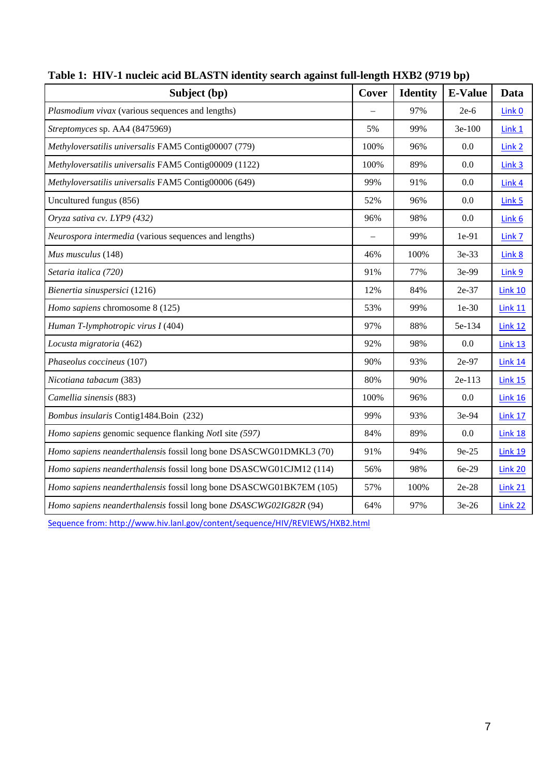| Subject (bp)                                                        | Cover | <b>Identity</b> | <b>E-Value</b> | Data              |
|---------------------------------------------------------------------|-------|-----------------|----------------|-------------------|
| Plasmodium vivax (various sequences and lengths)                    |       | 97%             | $2e-6$         | Link 0            |
| Streptomyces sp. AA4 (8475969)                                      | 5%    | 99%             | 3e-100         | Link 1            |
| Methyloversatilis universalis FAM5 Contig00007 (779)                | 100%  | 96%             | 0.0            | Link 2            |
| Methyloversatilis universalis FAM5 Contig00009 (1122)               | 100%  | 89%             | 0.0            | Link <sub>3</sub> |
| Methyloversatilis universalis FAM5 Contig00006 (649)                | 99%   | 91%             | 0.0            | Link 4            |
| Uncultured fungus (856)                                             | 52%   | 96%             | 0.0            | Link 5            |
| Oryza sativa cv. LYP9 (432)                                         | 96%   | 98%             | 0.0            | Link 6            |
| Neurospora intermedia (various sequences and lengths)               |       | 99%             | 1e-91          | Link 7            |
| Mus musculus (148)                                                  | 46%   | 100%            | 3e-33          | Link 8            |
| Setaria italica (720)                                               | 91%   | 77%             | 3e-99          | Link 9            |
| Bienertia sinuspersici (1216)                                       | 12%   | 84%             | 2e-37          | <b>Link 10</b>    |
| Homo sapiens chromosome 8 (125)                                     | 53%   | 99%             | $1e-30$        | <b>Link 11</b>    |
| Human T-lymphotropic virus I (404)                                  | 97%   | 88%             | 5e-134         | <b>Link 12</b>    |
| Locusta migratoria (462)                                            | 92%   | 98%             | 0.0            | Link 13           |
| Phaseolus coccineus (107)                                           | 90%   | 93%             | 2e-97          | <b>Link 14</b>    |
| Nicotiana tabacum (383)                                             | 80%   | 90%             | 2e-113         | <b>Link 15</b>    |
| Camellia sinensis (883)                                             | 100%  | 96%             | 0.0            | <b>Link 16</b>    |
| Bombus insularis Contig1484.Boin (232)                              | 99%   | 93%             | 3e-94          | <b>Link 17</b>    |
| Homo sapiens genomic sequence flanking NotI site (597)              | 84%   | 89%             | 0.0            | <b>Link 18</b>    |
| Homo sapiens neanderthalensis fossil long bone DSASCWG01DMKL3 (70)  | 91%   | 94%             | 9e-25          | <b>Link 19</b>    |
| Homo sapiens neanderthalensis fossil long bone DSASCWG01CJM12 (114) | 56%   | 98%             | 6e-29          | Link 20           |
| Homo sapiens neanderthalensis fossil long bone DSASCWG01BK7EM (105) | 57%   | 100%            | 2e-28          | <b>Link 21</b>    |
| Homo sapiens neanderthalensis fossil long bone DSASCWG02IG82R (94)  | 64%   | 97%             | $3e-26$        | <b>Link 22</b>    |

**Table 1: HIV-1 nucleic acid BLASTN identity search against full-length HXB2 (9719 bp)**

Sequence from: http://www.hiv.lanl.gov/content/sequence/HIV/REVIEWS/HXB2.html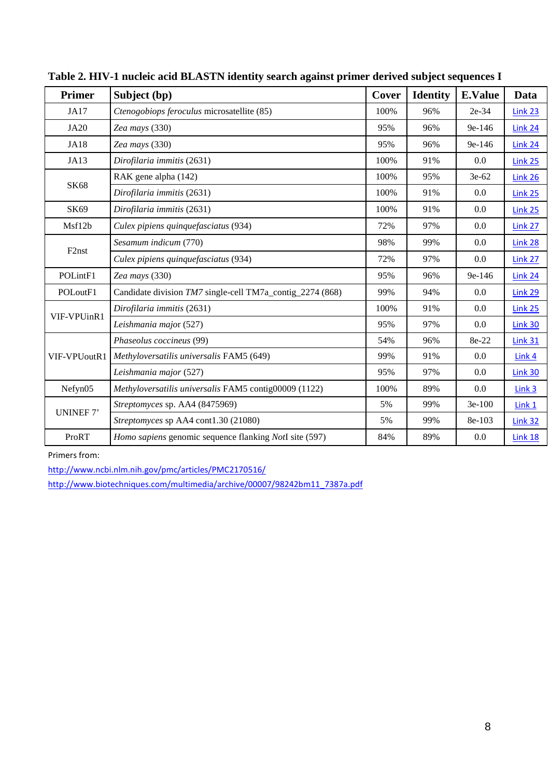| <b>Primer</b>      | Subject (bp)                                              | Cover | <b>Identity</b> | <b>E.Value</b> | Data              |
|--------------------|-----------------------------------------------------------|-------|-----------------|----------------|-------------------|
| <b>JA17</b>        | Ctenogobiops feroculus microsatellite (85)                | 100%  | 96%             | 2e-34          | Link 23           |
| <b>JA20</b>        | Zea mays (330)                                            | 95%   | 96%             | $9e-146$       | Link 24           |
| <b>JA18</b>        | Zea mays (330)                                            | 95%   | 96%             | 9e-146         | Link 24           |
| JA13               | Dirofilaria immitis (2631)                                | 100%  | 91%             | 0.0            | <b>Link 25</b>    |
| <b>SK68</b>        | RAK gene alpha (142)                                      | 100%  | 95%             | 3e-62          | Link 26           |
|                    | Dirofilaria immitis (2631)                                | 100%  | 91%             | $0.0\,$        | Link 25           |
| SK69               | Dirofilaria immitis (2631)                                | 100%  | 91%             | 0.0            | <b>Link 25</b>    |
| Msf12b             | Culex pipiens quinquefasciatus (934)                      | 72%   | 97%             | 0.0            | Link 27           |
|                    | Sesamum indicum (770)                                     | 98%   | 99%             | 0.0            | Link 28           |
| F <sub>2</sub> nst | Culex pipiens quinquefasciatus (934)                      | 72%   | 97%             | 0.0            | Link 27           |
| POLintF1           | Zea mays (330)                                            | 95%   | 96%             | 9e-146         | Link 24           |
| POLoutF1           | Candidate division TM7 single-cell TM7a_contig_2274 (868) | 99%   | 94%             | 0.0            | <b>Link 29</b>    |
| VIF-VPUinR1        | Dirofilaria immitis (2631)                                | 100%  | 91%             | 0.0            | Link 25           |
|                    | Leishmania major (527)                                    | 95%   | 97%             | $0.0\,$        | <b>Link 30</b>    |
| VIF-VPUoutR1       | Phaseolus coccineus (99)                                  | 54%   | 96%             | 8e-22          | <b>Link 31</b>    |
|                    | Methyloversatilis universalis FAM5 (649)                  | 99%   | 91%             | 0.0            | Link 4            |
|                    | Leishmania major (527)                                    | 95%   | 97%             | 0.0            | Link 30           |
| Nefyn05            | Methyloversatilis universalis FAM5 contig00009 (1122)     | 100%  | 89%             | 0.0            | Link <sub>3</sub> |
| UNINEF 7'          | Streptomyces sp. AA4 (8475969)                            | 5%    | 99%             | $3e-100$       | Link 1            |
|                    | Streptomyces sp AA4 cont1.30 (21080)                      | 5%    | 99%             | 8e-103         | <b>Link 32</b>    |
| ProRT              | Homo sapiens genomic sequence flanking NotI site (597)    | 84%   | 89%             | 0.0            | <b>Link 18</b>    |

**Table 2. HIV-1 nucleic acid BLASTN identity search against primer derived subject sequences I**

Primers from:

<http://www.ncbi.nlm.nih.gov/pmc/articles/PMC2170516/>

[http://www.biotechniques.com/multimedia/archive/00007/98242bm11\\_7387a.pdf](http://www.biotechniques.com/multimedia/archive/00007/98242bm11_7387a.pdf)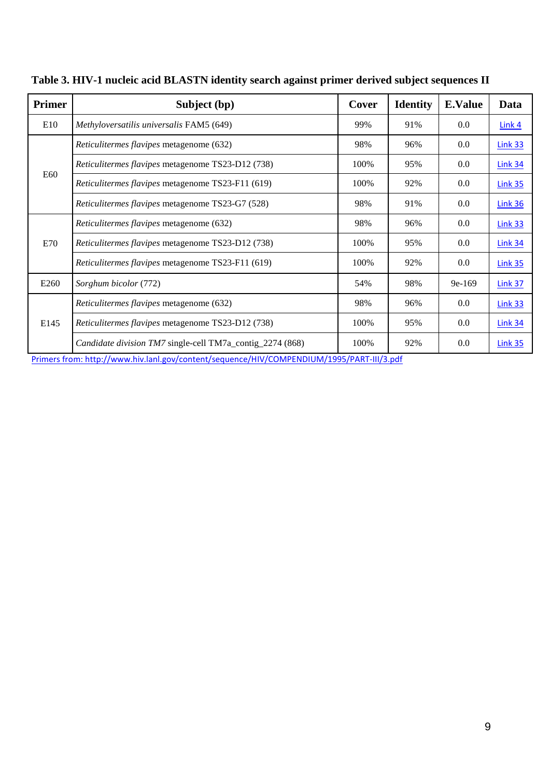| Primer | Subject (bp)                                              | Cover | <b>Identity</b> | <b>E.Value</b> | Data           |
|--------|-----------------------------------------------------------|-------|-----------------|----------------|----------------|
| E10    | Methyloversatilis universalis FAM5 (649)                  | 99%   | 91%             | 0.0            | $Link 4$       |
| E60    | Reticulitermes flavipes metagenome (632)                  | 98%   | 96%             | 0.0            | <b>Link 33</b> |
|        | Reticulitermes flavipes metagenome TS23-D12 (738)         | 100%  | 95%             | 0.0            | <b>Link 34</b> |
|        | Reticulitermes flavipes metagenome TS23-F11 (619)         | 100%  | 92%             | 0.0            | <b>Link 35</b> |
|        | Reticulitermes flavipes metagenome TS23-G7 (528)          | 98%   | 91%             | 0.0            | <b>Link 36</b> |
| E70    | Reticulitermes flavipes metagenome (632)                  | 98%   | 96%             | 0.0            | <b>Link 33</b> |
|        | Reticulitermes flavipes metagenome TS23-D12 (738)         | 100%  | 95%             | 0.0            | <b>Link 34</b> |
|        | Reticulitermes flavipes metagenome TS23-F11 (619)         | 100%  | 92%             | 0.0            | <b>Link 35</b> |
| E260   | Sorghum bicolor (772)                                     | 54%   | 98%             | $9e-169$       | <b>Link 37</b> |
| E145   | Reticulitermes flavipes metagenome (632)                  | 98%   | 96%             | 0.0            | <b>Link 33</b> |
|        | Reticulitermes flavipes metagenome TS23-D12 (738)         | 100%  | 95%             | 0.0            | <b>Link 34</b> |
|        | Candidate division TM7 single-cell TM7a_contig_2274 (868) | 100%  | 92%             | 0.0            | Link 35        |

**Table 3. HIV-1 nucleic acid BLASTN identity search against primer derived subject sequences II**

[Primers from: http://www.hiv.lanl.gov/content/sequence/HIV/COMPENDIUM/1995/PART-III/3.pdf](http://www.hiv.lanl.gov/content/sequence/HIV/COMPENDIUM/1995/PART-III/3.pdf)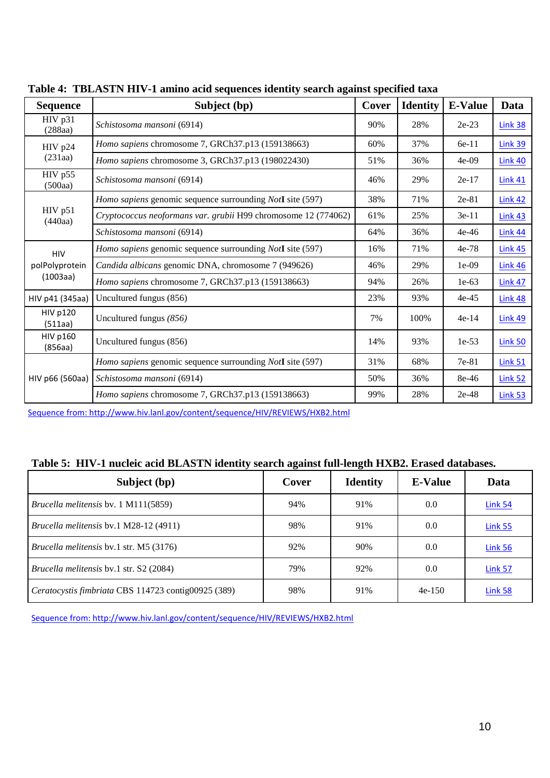| <b>Sequence</b>            | Subject (bp)                                                                                                                                                                                                                                                                                                                          | Cover | <b>Identity</b> | <b>E-Value</b> | Data           |
|----------------------------|---------------------------------------------------------------------------------------------------------------------------------------------------------------------------------------------------------------------------------------------------------------------------------------------------------------------------------------|-------|-----------------|----------------|----------------|
| HIV p31<br>(288aa)         | Schistosoma mansoni (6914)                                                                                                                                                                                                                                                                                                            | 90%   | 28%             | $2e-23$        | <b>Link 38</b> |
| HIV p24<br>(231aa)         | Homo sapiens chromosome 7, GRCh37.p13 (159138663)                                                                                                                                                                                                                                                                                     | 60%   | 37%             | 6e-11          | <b>Link 39</b> |
|                            | Homo sapiens chromosome 3, GRCh37.p13 (198022430)                                                                                                                                                                                                                                                                                     | 51%   | 36%             | $4e-09$        | <b>Link 40</b> |
| HIV p55<br>(500aa)         | Schistosoma mansoni (6914)<br>29%<br>46%<br>$2e-17$<br>Homo sapiens genomic sequence surrounding NotI site (597)<br>38%<br>71%<br>Cryptococcus neoformans var. grubii H99 chromosome 12 (774062)<br>61%<br>25%<br>Schistosoma mansoni (6914)<br>64%<br>36%<br>Homo sapiens genomic sequence surrounding NotI site (597)<br>71%<br>16% |       |                 |                |                |
|                            |                                                                                                                                                                                                                                                                                                                                       |       |                 | $2e-81$        | <b>Link 42</b> |
| HIV p51<br>(440aa)         |                                                                                                                                                                                                                                                                                                                                       |       |                 | $3e-11$        | <b>Link 43</b> |
|                            |                                                                                                                                                                                                                                                                                                                                       |       |                 | $4e-46$        | <b>Link 44</b> |
| <b>HIV</b>                 |                                                                                                                                                                                                                                                                                                                                       |       |                 | $4e-78$        | <b>Link 45</b> |
| polPolyprotein             | Candida albicans genomic DNA, chromosome 7 (949626)                                                                                                                                                                                                                                                                                   | 46%   | 29%             | $1e-09$        | Link 46        |
| (1003aa)                   | Homo sapiens chromosome 7, GRCh37.p13 (159138663)                                                                                                                                                                                                                                                                                     | 94%   | 26%             | $1e-63$        | <b>Link 47</b> |
| HIV p41 (345aa)            | Uncultured fungus (856)                                                                                                                                                                                                                                                                                                               | 23%   | 93%             | $4e-45$        | <b>Link 48</b> |
| <b>HIV p120</b><br>(511aa) | Uncultured fungus (856)                                                                                                                                                                                                                                                                                                               | 7%    | 100%            | $4e-14$        | Link 49        |
| <b>HIV p160</b><br>(856aa) | Uncultured fungus (856)                                                                                                                                                                                                                                                                                                               | 14%   | 93%             | $1e-53$        | <b>Link 50</b> |
| HIV p66 (560aa)            | Homo sapiens genomic sequence surrounding NotI site (597)                                                                                                                                                                                                                                                                             | 31%   | 68%             | 7e-81          | Link 51        |
|                            | Schistosoma mansoni (6914)                                                                                                                                                                                                                                                                                                            | 50%   | 36%             | 8e-46          | Link 52        |
|                            | Homo sapiens chromosome 7, GRCh37.p13 (159138663)                                                                                                                                                                                                                                                                                     | 99%   | 28%             | $2e-48$        | <b>Link 53</b> |

**Table 4: TBLASTN HIV-1 amino acid sequences identity search against specified taxa**

[Sequence from: http://www.hiv.lanl.gov/content/sequence/HIV/REVIEWS/HXB2.html](http://www.hiv.lanl.gov/content/sequence/HIV/REVIEWS/HXB2.html)

#### **Table 5: HIV-1 nucleic acid BLASTN identity search against full-length HXB2. Erased databases.**

| Subject (bp)                                        | Cover | <b>Identity</b> | <b>E-Value</b> | Data           |
|-----------------------------------------------------|-------|-----------------|----------------|----------------|
| <i>Brucella melitensis</i> by 1 M111(5859)          | 94%   | 91%             | 0.0            | <b>Link 54</b> |
| Brucella melitensis bv.1 M28-12 (4911)              | 98%   | 91%             | 0.0            | Link 55        |
| <i>Brucella melitensis</i> by 1 str. M5 (3176)      | 92%   | 90%             | 0.0            | <b>Link 56</b> |
| Brucella melitensis by 1 str. S2 (2084)             | 79%   | 92%             | 0.0            | <b>Link 57</b> |
| Ceratocystis fimbriata CBS 114723 contig00925 (389) | 98%   | 91%             | $4e-150$       | Link 58        |

[Sequence from: http://www.hiv.lanl.gov/content/sequence/HIV/REVIEWS/HXB2.html](http://www.hiv.lanl.gov/content/sequence/HIV/REVIEWS/HXB2.html)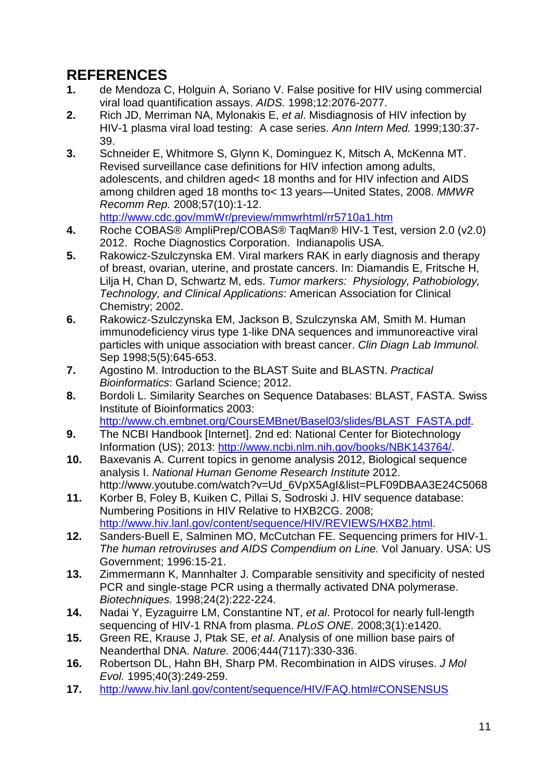# **REFERENCES**<br>1. de Mendoza (

- <span id="page-10-0"></span>**1.** de Mendoza C, Holguin A, Soriano V. False positive for HIV using commercial viral load quantification assays. *AIDS.* 1998;12:2076-2077.
- <span id="page-10-1"></span>**2.** Rich JD, Merriman NA, Mylonakis E, *et al*. Misdiagnosis of HIV infection by HIV-1 plasma viral load testing: A case series. *Ann Intern Med.* 1999;130:37- 39.
- <span id="page-10-2"></span>**3.** Schneider E, Whitmore S, Glynn K, Dominguez K, Mitsch A, McKenna MT. Revised surveillance case definitions for HIV infection among adults, adolescents, and children aged< 18 months and for HIV infection and AIDS among children aged 18 months to< 13 years—United States, 2008. *MMWR Recomm Rep.* 2008;57(10):1-12. <http://www.cdc.gov/mmWr/preview/mmwrhtml/rr5710a1.htm>
- <span id="page-10-3"></span>**4.** Roche COBAS® AmpliPrep/COBAS® TaqMan® HIV-1 Test, version 2.0 (v2.0) 2012. Roche Diagnostics Corporation. Indianapolis USA.
- <span id="page-10-4"></span>**5.** Rakowicz-Szulczynska EM. Viral markers RAK in early diagnosis and therapy of breast, ovarian, uterine, and prostate cancers. In: Diamandis E, Fritsche H, Lilja H, Chan D, Schwartz M, eds. *Tumor markers: Physiology, Pathobiology, Technology, and Clinical Applications*: American Association for Clinical Chemistry; 2002.
- <span id="page-10-5"></span>**6.** Rakowicz-Szulczynska EM, Jackson B, Szulczynska AM, Smith M. Human immunodeficiency virus type 1-like DNA sequences and immunoreactive viral particles with unique association with breast cancer. *Clin Diagn Lab Immunol.*  Sep 1998;5(5):645-653.
- <span id="page-10-6"></span>**7.** Agostino M. Introduction to the BLAST Suite and BLASTN. *Practical Bioinformatics*: Garland Science; 2012.
- <span id="page-10-7"></span>**8.** Bordoli L. Similarity Searches on Sequence Databases: BLAST, FASTA. Swiss Institute of Bioinformatics 2003:
	- [http://www.ch.embnet.org/CoursEMBnet/Basel03/slides/BLAST\\_FASTA.pdf.](http://www.ch.embnet.org/CoursEMBnet/Basel03/slides/BLAST_FASTA.pdf)
- <span id="page-10-8"></span>**9.** The NCBI Handbook [Internet]. 2nd ed: National Center for Biotechnology Information (US); 2013: [http://www.ncbi.nlm.nih.gov/books/NBK143764/.](http://www.ncbi.nlm.nih.gov/books/NBK143764/)
- <span id="page-10-9"></span>**10.** Baxevanis A. Current topics in genome analysis 2012, Biological sequence analysis I. *National Human Genome Research Institute* 2012. http://www.youtube.com/watch?v=Ud\_6VpX5AgI&list=PLF09DBAA3E24C5068
- <span id="page-10-10"></span>**11.** Korber B, Foley B, Kuiken C, Pillai S, Sodroski J. HIV sequence database: Numbering Positions in HIV Relative to HXB2CG. 2008; [http://www.hiv.lanl.gov/content/sequence/HIV/REVIEWS/HXB2.html.](http://www.hiv.lanl.gov/content/sequence/HIV/REVIEWS/HXB2.html)
- <span id="page-10-11"></span>**12.** Sanders-Buell E, Salminen MO, McCutchan FE. Sequencing primers for HIV-1. *The human retroviruses and AIDS Compendium on Line.* Vol January. USA: US Government; 1996:15-21.
- **13.** Zimmermann K, Mannhalter J. Comparable sensitivity and specificity of nested PCR and single-stage PCR using a thermally activated DNA polymerase. *Biotechniques.* 1998;24(2):222-224.
- **14.** Nadai Y, Eyzaguirre LM, Constantine NT, *et al*. Protocol for nearly full-length sequencing of HIV-1 RNA from plasma. *PLoS ONE.* 2008;3(1):e1420.
- <span id="page-10-12"></span>**15.** Green RE, Krause J, Ptak SE, *et al*. Analysis of one million base pairs of Neanderthal DNA. *Nature.* 2006;444(7117):330-336.
- <span id="page-10-13"></span>**16.** Robertson DL, Hahn BH, Sharp PM. Recombination in AIDS viruses. *J Mol Evol.* 1995;40(3):249-259.
- <span id="page-10-14"></span>**17.** <http://www.hiv.lanl.gov/content/sequence/HIV/FAQ.html#CONSENSUS>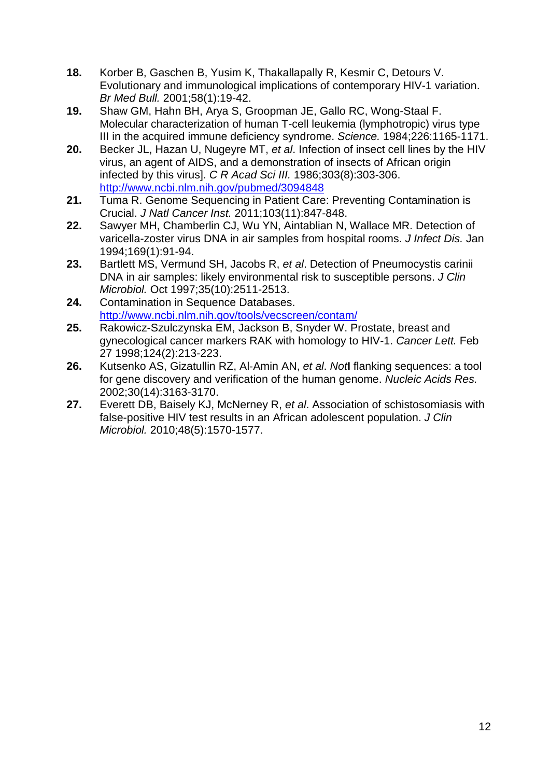- <span id="page-11-0"></span>**18.** Korber B, Gaschen B, Yusim K, Thakallapally R, Kesmir C, Detours V. Evolutionary and immunological implications of contemporary HIV-1 variation. *Br Med Bull.* 2001;58(1):19-42.
- <span id="page-11-1"></span>**19.** Shaw GM, Hahn BH, Arya S, Groopman JE, Gallo RC, Wong-Staal F. Molecular characterization of human T-cell leukemia (lymphotropic) virus type III in the acquired immune deficiency syndrome. *Science.* 1984;226:1165-1171.
- <span id="page-11-2"></span>**20.** Becker JL, Hazan U, Nugeyre MT, *et al*. Infection of insect cell lines by the HIV virus, an agent of AIDS, and a demonstration of insects of African origin infected by this virus]. *C R Acad Sci III.* 1986;303(8):303-306. <http://www.ncbi.nlm.nih.gov/pubmed/3094848>
- <span id="page-11-3"></span>**21.** Tuma R. Genome Sequencing in Patient Care: Preventing Contamination is Crucial. *J Natl Cancer Inst.* 2011;103(11):847-848.
- <span id="page-11-4"></span>**22.** Sawyer MH, Chamberlin CJ, Wu YN, Aintablian N, Wallace MR. Detection of varicella-zoster virus DNA in air samples from hospital rooms. *J Infect Dis.* Jan 1994;169(1):91-94.
- <span id="page-11-5"></span>**23.** Bartlett MS, Vermund SH, Jacobs R, *et al*. Detection of Pneumocystis carinii DNA in air samples: likely environmental risk to susceptible persons. *J Clin Microbiol.* Oct 1997;35(10):2511-2513.
- <span id="page-11-6"></span>**24.** Contamination in Sequence Databases. <http://www.ncbi.nlm.nih.gov/tools/vecscreen/contam/>
- <span id="page-11-7"></span>**25.** Rakowicz-Szulczynska EM, Jackson B, Snyder W. Prostate, breast and gynecological cancer markers RAK with homology to HIV-1. *Cancer Lett.* Feb 27 1998;124(2):213-223.
- <span id="page-11-8"></span>**26.** Kutsenko AS, Gizatullin RZ, Al‐Amin AN, *et al*. *Not***I** flanking sequences: a tool for gene discovery and verification of the human genome. *Nucleic Acids Res.*  2002;30(14):3163-3170.
- <span id="page-11-9"></span>**27.** Everett DB, Baisely KJ, McNerney R, *et al*. Association of schistosomiasis with false-positive HIV test results in an African adolescent population. *J Clin Microbiol.* 2010;48(5):1570-1577.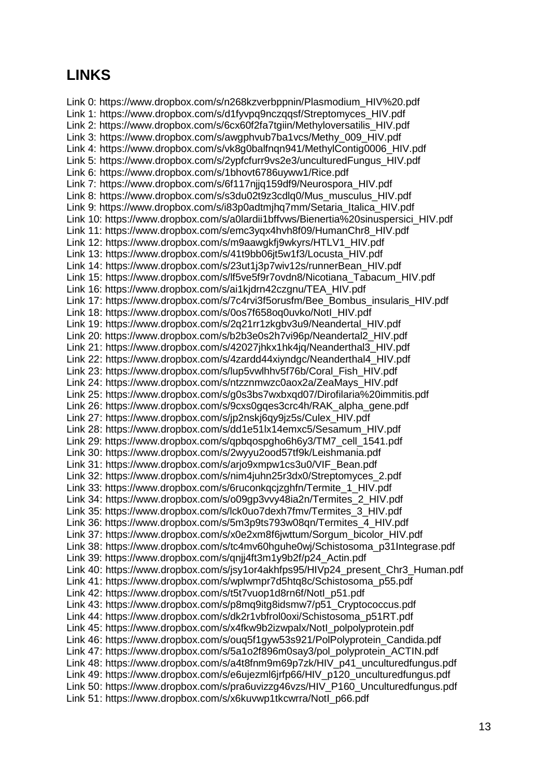## **LINKS**

Link 0: https://www.dropbox.com/s/n268kzverbppnin/Plasmodium\_HIV%20.pdf Link 1: https://www.dropbox.com/s/d1fyvpq9nczqqsf/Streptomyces\_HIV.pdf Link 2: https://www.dropbox.com/s/6cx60f2fa7tgiin/Methyloversatilis\_HIV.pdf Link 3: https://www.dropbox.com/s/awgphvub7ba1vcs/Methy\_009\_HIV.pdf Link 4: https://www.dropbox.com/s/vk8g0balfnqn941/MethylContig0006\_HIV.pdf Link 5: https://www.dropbox.com/s/2ypfcfurr9vs2e3/unculturedFungus\_HIV.pdf Link 6: https://www.dropbox.com/s/1bhovt6786uyww1/Rice.pdf Link 7: https://www.dropbox.com/s/6f117njjq159df9/Neurospora\_HIV.pdf Link 8: https://www.dropbox.com/s/s3du02t9z3cdlq0/Mus\_musculus\_HIV.pdf Link 9: https://www.dropbox.com/s/i83p0adtmjhq7mm/Setaria\_Italica\_HIV.pdf Link 10: https://www.dropbox.com/s/a0lardii1bffvws/Bienertia%20sinuspersici\_HIV.pdf Link 11: https://www.dropbox.com/s/emc3yqx4hvh8f09/HumanChr8\_HIV.pdf Link 12: https://www.dropbox.com/s/m9aawgkfj9wkyrs/HTLV1\_HIV.pdf Link 13: https://www.dropbox.com/s/41t9bb06jt5w1f3/Locusta\_HIV.pdf Link 14: https://www.dropbox.com/s/23ut1j3p7wiv12s/runnerBean\_HIV.pdf Link 15: https://www.dropbox.com/s/lf5ve5f9r7ovdn8/Nicotiana\_Tabacum\_HIV.pdf Link 16: https://www.dropbox.com/s/ai1kjdrn42czgnu/TEA\_HIV.pdf Link 17: https://www.dropbox.com/s/7c4rvi3f5orusfm/Bee\_Bombus\_insularis\_HIV.pdf Link 18: https://www.dropbox.com/s/0os7f658oq0uvko/NotI\_HIV.pdf Link 19: https://www.dropbox.com/s/2q21rr1zkgbv3u9/Neandertal\_HIV.pdf Link 20: https://www.dropbox.com/s/b2b3e0s2h7vi96p/Neandertal2\_HIV.pdf Link 21: https://www.dropbox.com/s/42027jhkx1hk4jq/Neanderthal3\_HIV.pdf Link 22: https://www.dropbox.com/s/4zardd44xiyndgc/Neanderthal4\_HIV.pdf Link 23: https://www.dropbox.com/s/lup5vwlhhv5f76b/Coral\_Fish\_HIV.pdf Link 24: https://www.dropbox.com/s/ntzznmwzc0aox2a/ZeaMays\_HIV.pdf Link 25: https://www.dropbox.com/s/g0s3bs7wxbxqd07/Dirofilaria%20immitis.pdf Link 26: https://www.dropbox.com/s/9cxs0gqes3crc4h/RAK\_alpha\_gene.pdf Link 27: https://www.dropbox.com/s/jp2nskj6qy9jz5s/Culex\_HIV.pdf Link 28: https://www.dropbox.com/s/dd1e51lx14emxc5/Sesamum\_HIV.pdf Link 29: https://www.dropbox.com/s/qpbqospgho6h6y3/TM7\_cell\_1541.pdf Link 30: https://www.dropbox.com/s/2wyyu2ood57tf9k/Leishmania.pdf Link 31: https://www.dropbox.com/s/ario9xmpw1cs3u0/VIF\_Bean.pdf Link 32: https://www.dropbox.com/s/nim4juhn25r3dx0/Streptomyces\_2.pdf Link 33: https://www.dropbox.com/s/6ruconkqcjzghfn/Termite\_1\_HIV.pdf Link 34: https://www.dropbox.com/s/o09gp3vvy48ia2n/Termites\_2\_HIV.pdf Link 35: https://www.dropbox.com/s/lck0uo7dexh7fmv/Termites\_3\_HIV.pdf Link 36: https://www.dropbox.com/s/5m3p9ts793w08qn/Termites\_4\_HIV.pdf Link 37: https://www.dropbox.com/s/x0e2xm8f6jwttum/Sorgum\_bicolor\_HIV.pdf Link 38: https://www.dropbox.com/s/tc4mv60hguhe0wj/Schistosoma\_p31Integrase.pdf Link 39: https://www.dropbox.com/s/qnjj4ft3m1y9b2f/p24\_Actin.pdf Link 40: https://www.dropbox.com/s/jsy1or4akhfps95/HIVp24\_present\_Chr3\_Human.pdf Link 41: https://www.dropbox.com/s/wplwmpr7d5htq8c/Schistosoma\_p55.pdf Link 42: https://www.dropbox.com/s/t5t7vuop1d8rn6f/NotI\_p51.pdf Link 43: https://www.dropbox.com/s/p8mq9itg8idsmw7/p51\_Cryptococcus.pdf Link 44: https://www.dropbox.com/s/dk2r1vbfrol0oxi/Schistosoma\_p51RT.pdf Link 45: https://www.dropbox.com/s/x4fkw9b2izwpalx/NotI\_polpolyprotein.pdf Link 46: https://www.dropbox.com/s/ouq5f1gyw53s921/PolPolyprotein\_Candida.pdf Link 47: https://www.dropbox.com/s/5a1o2f896m0say3/pol\_polyprotein\_ACTIN.pdf Link 48: https://www.dropbox.com/s/a4t8fnm9m69p7zk/HIV\_p41\_unculturedfungus.pdf Link 49: https://www.dropbox.com/s/e6ujezml6jrfp66/HIV\_p120\_unculturedfungus.pdf Link 50: https://www.dropbox.com/s/pra6uvizzg46vzs/HIV\_P160\_Unculturedfungus.pdf Link 51: https://www.dropbox.com/s/x6kuvwp1tkcwrra/NotI\_p66.pdf